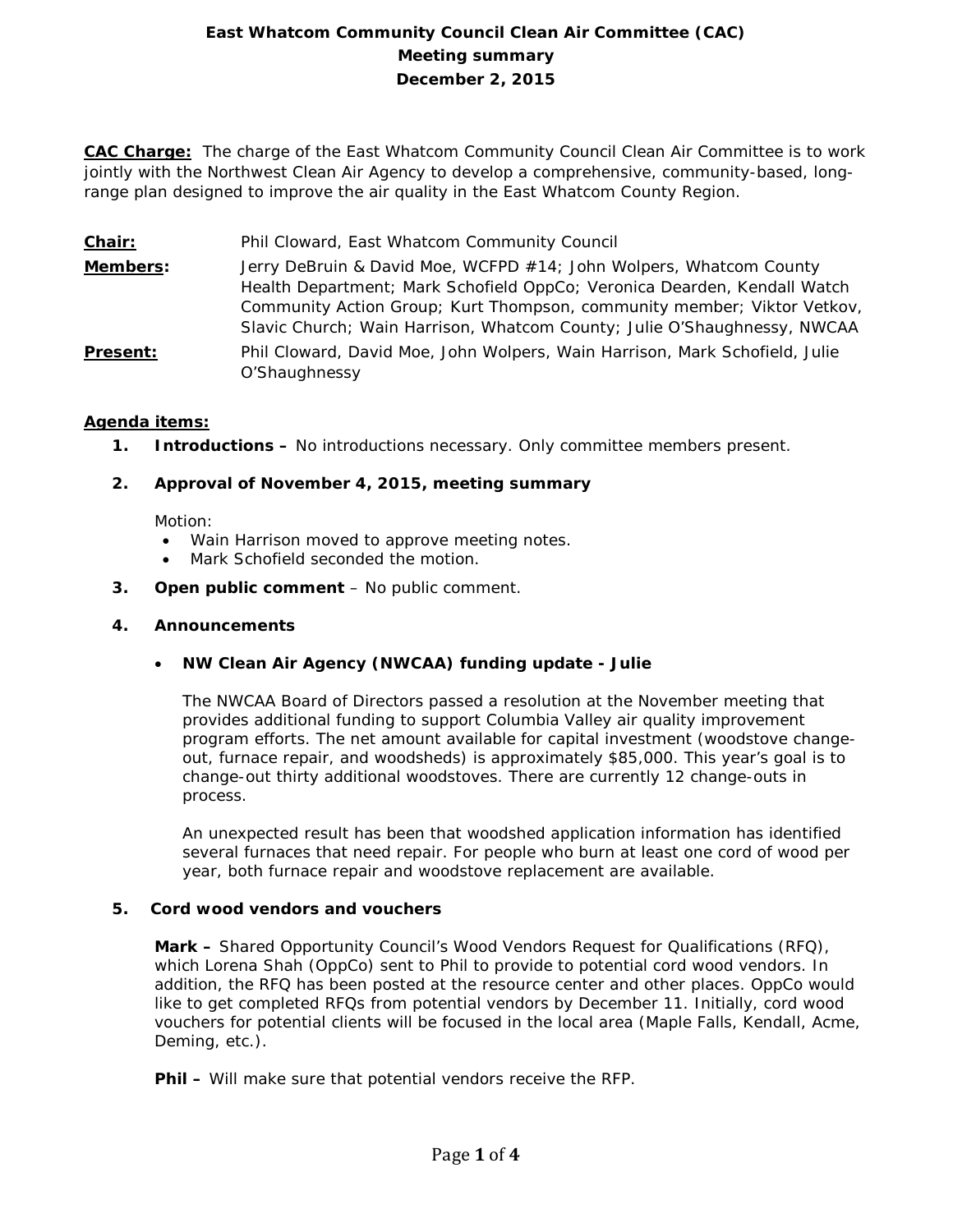# **East Whatcom Community Council Clean Air Committee (CAC) Meeting summary December 2, 2015**

**CAC Charge:** The charge of the East Whatcom Community Council Clean Air Committee is to work jointly with the Northwest Clean Air Agency to develop a comprehensive, community-based, longrange plan designed to improve the air quality in the East Whatcom County Region.

- **Chair:** Phil Cloward, East Whatcom Community Council
- **Members:** Jerry DeBruin & David Moe, WCFPD #14; John Wolpers, Whatcom County Health Department; Mark Schofield OppCo; Veronica Dearden, Kendall Watch Community Action Group; Kurt Thompson, community member; Viktor Vetkov, Slavic Church; Wain Harrison, Whatcom County; Julie O'Shaughnessy, NWCAA
- **Present:** Phil Cloward, David Moe, John Wolpers, Wain Harrison, Mark Schofield, Julie O'Shaughnessy

# **Agenda items:**

**1. Introductions –** No introductions necessary. Only committee members present.

# **2. Approval of November 4, 2015, meeting summary**

Motion:

- Wain Harrison moved to approve meeting notes.
- Mark Schofield seconded the motion.
- **3. Open public comment**  No public comment.

# **4. Announcements**

• **NW Clean Air Agency (NWCAA) funding update - Julie**

The NWCAA Board of Directors passed a resolution at the November meeting that provides additional funding to support Columbia Valley air quality improvement program efforts. The net amount available for capital investment (woodstove changeout, furnace repair, and woodsheds) is approximately \$85,000. This year's goal is to change-out thirty additional woodstoves. There are currently 12 change-outs in process.

An unexpected result has been that woodshed application information has identified several furnaces that need repair. For people who burn at least one cord of wood per year, both furnace repair and woodstove replacement are available.

# **5. Cord wood vendors and vouchers**

**Mark –** Shared Opportunity Council's Wood Vendors Request for Qualifications (RFQ), which Lorena Shah (OppCo) sent to Phil to provide to potential cord wood vendors. In addition, the RFQ has been posted at the resource center and other places. OppCo would like to get completed RFQs from potential vendors by December 11. Initially, cord wood vouchers for potential clients will be focused in the local area (Maple Falls, Kendall, Acme, Deming, etc.).

**Phil –** Will make sure that potential vendors receive the RFP.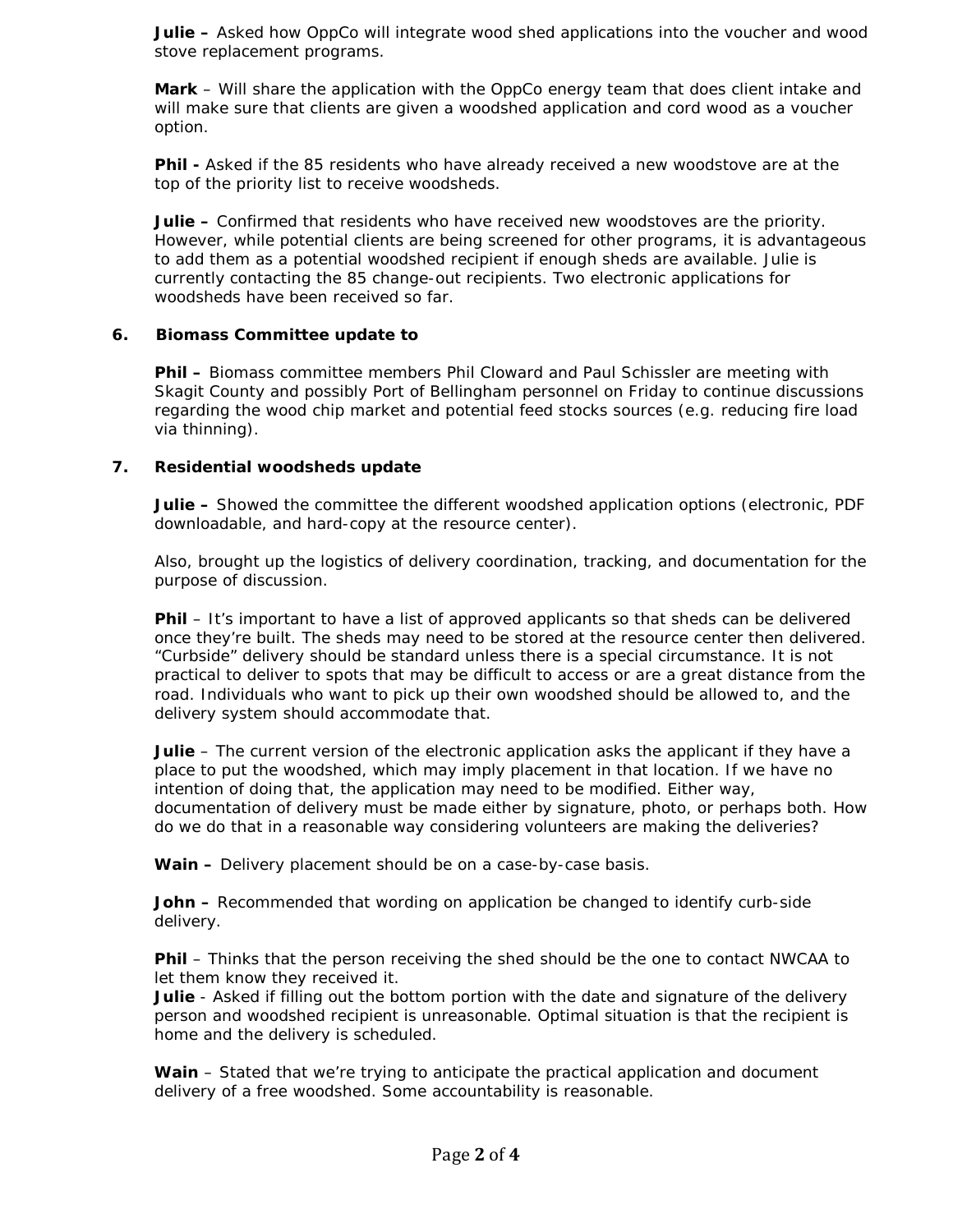**Julie –** Asked how OppCo will integrate wood shed applications into the voucher and wood stove replacement programs.

**Mark** – Will share the application with the OppCo energy team that does client intake and will make sure that clients are given a woodshed application and cord wood as a voucher option.

**Phil -** Asked if the 85 residents who have already received a new woodstove are at the top of the priority list to receive woodsheds.

**Julie –** Confirmed that residents who have received new woodstoves are the priority. However, while potential clients are being screened for other programs, it is advantageous to add them as a potential woodshed recipient if enough sheds are available. Julie is currently contacting the 85 change-out recipients. Two electronic applications for woodsheds have been received so far.

# **6. Biomass Committee update to**

**Phil –** Biomass committee members Phil Cloward and Paul Schissler are meeting with Skagit County and possibly Port of Bellingham personnel on Friday to continue discussions regarding the wood chip market and potential feed stocks sources (e.g. reducing fire load via thinning).

#### **7. Residential woodsheds update**

**Julie –** Showed the committee the different woodshed application options (electronic, PDF downloadable, and hard-copy at the resource center).

Also, brought up the logistics of delivery coordination, tracking, and documentation for the purpose of discussion.

**Phil** – It's important to have a list of approved applicants so that sheds can be delivered once they're built. The sheds may need to be stored at the resource center then delivered. "Curbside" delivery should be standard unless there is a special circumstance. It is not practical to deliver to spots that may be difficult to access or are a great distance from the road. Individuals who want to pick up their own woodshed should be allowed to, and the delivery system should accommodate that.

**Julie** – The current version of the electronic application asks the applicant if they have a place to put the woodshed, which may imply placement in that location. If we have no intention of doing that, the application may need to be modified. Either way, documentation of delivery must be made either by signature, photo, or perhaps both. How do we do that in a reasonable way considering volunteers are making the deliveries?

**Wain –** Delivery placement should be on a case-by-case basis.

**John –** Recommended that wording on application be changed to identify curb-side delivery.

**Phil** – Thinks that the person receiving the shed should be the one to contact NWCAA to let them know they received it.

**Julie** - Asked if filling out the bottom portion with the date and signature of the delivery person and woodshed recipient is unreasonable. Optimal situation is that the recipient is home and the delivery is scheduled.

**Wain** – Stated that we're trying to anticipate the practical application and document delivery of a free woodshed. Some accountability is reasonable.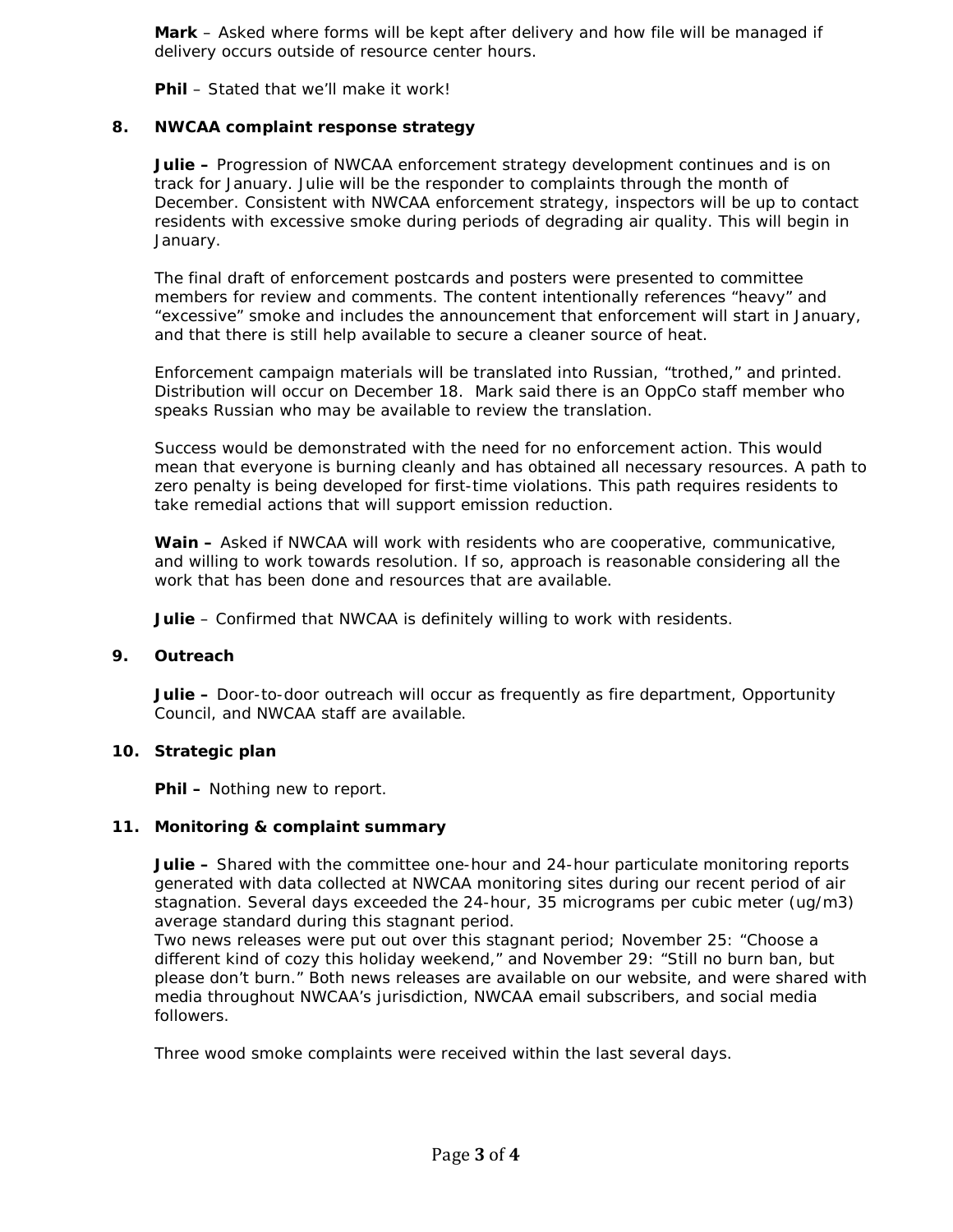**Mark** – Asked where forms will be kept after delivery and how file will be managed if delivery occurs outside of resource center hours.

**Phil** – Stated that we'll make it work!

# **8. NWCAA complaint response strategy**

**Julie –** Progression of NWCAA enforcement strategy development continues and is on track for January. Julie will be the responder to complaints through the month of December. Consistent with NWCAA enforcement strategy, inspectors will be up to contact residents with excessive smoke during periods of degrading air quality. This will begin in January.

The final draft of enforcement postcards and posters were presented to committee members for review and comments. The content intentionally references "heavy" and "excessive" smoke and includes the announcement that enforcement will start in January, and that there is still help available to secure a cleaner source of heat.

Enforcement campaign materials will be translated into Russian, "trothed," and printed. Distribution will occur on December 18. Mark said there is an OppCo staff member who speaks Russian who may be available to review the translation.

Success would be demonstrated with the need for no enforcement action. This would mean that everyone is burning cleanly and has obtained all necessary resources. A path to zero penalty is being developed for first-time violations. This path requires residents to take remedial actions that will support emission reduction.

**Wain –** Asked if NWCAA will work with residents who are cooperative, communicative, and willing to work towards resolution. If so, approach is reasonable considering all the work that has been done and resources that are available.

**Julie** – Confirmed that NWCAA is definitely willing to work with residents.

# **9. Outreach**

**Julie –** Door-to-door outreach will occur as frequently as fire department, Opportunity Council, and NWCAA staff are available.

# **10. Strategic plan**

**Phil –** Nothing new to report.

# **11. Monitoring & complaint summary**

**Julie –** Shared with the committee one-hour and 24-hour particulate monitoring reports generated with data collected at NWCAA monitoring sites during our recent period of air stagnation. Several days exceeded the 24-hour, 35 micrograms per cubic meter (ug/m3) average standard during this stagnant period.

Two news releases were put out over this stagnant period; November 25: "Choose a different kind of cozy this holiday weekend," and November 29: "Still no burn ban, but please don't burn." Both news releases are available on our website, and were shared with media throughout NWCAA's jurisdiction, NWCAA email subscribers, and social media followers.

Three wood smoke complaints were received within the last several days.